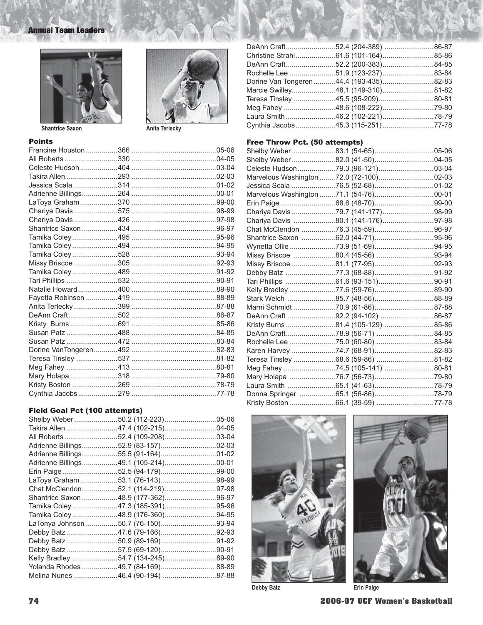# **Annual Team Leaders**





Anita Terlecky

| r. | Ыn |  |  |
|----|----|--|--|
|    |    |  |  |

### **Field Goal Pct (100 attempts)**

| Shelby Weber 50.2 (112-223) 05-06    |  |
|--------------------------------------|--|
| Takira Allen 47.4 (102-215)04-05     |  |
| Ali Roberts52.4 (109-208)03-04       |  |
| Adrienne Billings52.9 (83-157)02-03  |  |
| Adrienne Billings55.5 (91-164)01-02  |  |
| Adrienne Billings49.1 (105-214)00-01 |  |
| Erin Paige52.5 (94-179)99-00         |  |
| LaToya Graham53.1 (76-143)98-99      |  |
| Chat McClendon52.1 (114-219)97-98    |  |
| Shantrice Saxon 48.9 (177-362)96-97  |  |
| Tamika Coley47.3 (185-391)95-96      |  |
| Tamika Coley48.9 (176-360)94-95      |  |
| LaTonya Johnson 50.7 (76-150)93-94   |  |
| Debby Batz47.6 (79-166)92-93         |  |
| Debby Batz50.9 (89-169)91-92         |  |
| Debby Batz57.5 (69-120)90-91         |  |
| Kelly Bradley 54.7 (134-245)89-90    |  |
| Yolanda Rhodes 49.7 (84-169) 88-89   |  |
| Melina Nunes 46.4 (90-194) 87-88     |  |

| Christine Strahl61.6 (101-164)85-86    |  |
|----------------------------------------|--|
| DeAnn Craft52.2 (200-383)84-85         |  |
| Rochelle Lee 51.9 (123-237)83-84       |  |
| Dorine Van Tongeren44.4 (193-435)82-83 |  |
| Marcie Swilley48.1 (149-310)81-82      |  |
| Teresa Tinsley 45.5 (95-209)80-81      |  |
| Meg Fahey 48.6 (108-222)79-80          |  |
| Laura Smith 46.2 (102-221)78-79        |  |
| Cynthia Jacobs 45.3 (115-251) 77-78    |  |
|                                        |  |

## Free Throw Pct. (50 attempts)

| Shelby Weber83.1 (54-65)05-06           |  |
|-----------------------------------------|--|
| Shelby Weber 82.0 (41-50)04-05          |  |
| Celeste Hudson79.3 (96-121)03-04        |  |
| Marvelous Washington 72.0 (72-100)02-03 |  |
|                                         |  |
| Marvelous Washington 71.1 (54-76)00-01  |  |
|                                         |  |
| Chariya Davis 79.7 (141-177)98-99       |  |
| Chariya Davis 80.1 (141-176)97-98       |  |
|                                         |  |
| Shantrice Saxon 62.0 (44-71)95-96       |  |
|                                         |  |
| Missy Briscoe 80.4 (45-56) 93-94        |  |
| Missy Briscoe 81.1 (77-95)92-93         |  |
|                                         |  |
|                                         |  |
| Kelly Bradley 77.6 (59-76)89-90         |  |
| Stark Welch 85.7 (48-56)88-89           |  |
| Marni Schmidt 70.9 (61-86)87-88         |  |
| DeAnn Craft 92.2 (94-102) 86-87         |  |
| Kristy Burns 81.4 (105-129) 85-86       |  |
| DeAnn Craft78.9 (56-71) 84-85           |  |
| Rochelle Lee 75.0 (60-80) 83-84         |  |
| Karen Harvey 74.7 (68-91)82-83          |  |
| Teresa Tinsley 68.6 (59-86) 81-82       |  |
| Meg Fahey 74.5 (105-141) 80-81          |  |
| Mary Holapa 76.7 (56-73)79-80           |  |
|                                         |  |
| Donna Springer 65.1 (56-86)78-79        |  |
| Kristy Boston 66.1 (39-59) 77-78        |  |



**Debby Batz** 

**Erin Paige** 

2006-07 UCF Women's Basketball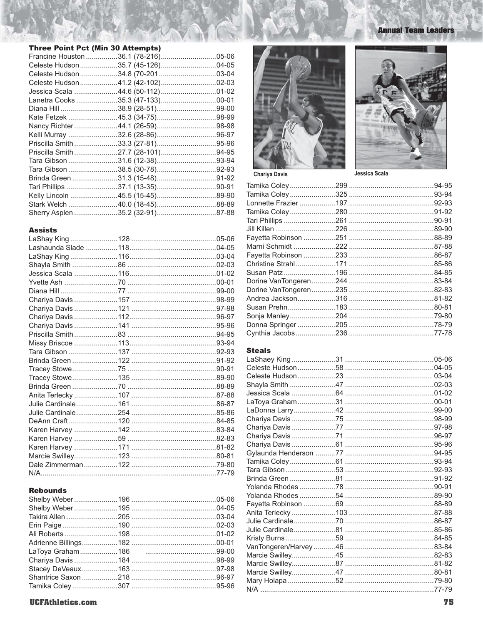# **Three Point Pct (Min 30 Attempts)**

| Francine Houston 36.1 (78-216)05-06 |  |
|-------------------------------------|--|
| Celeste Hudson35.7 (45-126)04-05    |  |
| Celeste Hudson 34.8 (70-201 03-04   |  |
| Celeste Hudson41.2 (42-102)02-03    |  |
| Jessica Scala 44.6 (50-112) 01-02   |  |
| Lanetra Cooks 35.3 (47-133)00-01    |  |
|                                     |  |
|                                     |  |
|                                     |  |
|                                     |  |
|                                     |  |
|                                     |  |
|                                     |  |
|                                     |  |
| Brinda Green 31.3 (15-48)91-92      |  |
|                                     |  |
| Kelly Lincoln 45.5 (15-45)89-90     |  |
| Stark Welch 40.0 (18-45)88-89       |  |
| Sherry Asplen 35.2 (32-91)87-88     |  |

#### **Assists**

#### **Rebounds**





**Annual Team Leaders** 

Chariya Davis

Jessica Scala

#### **Steals**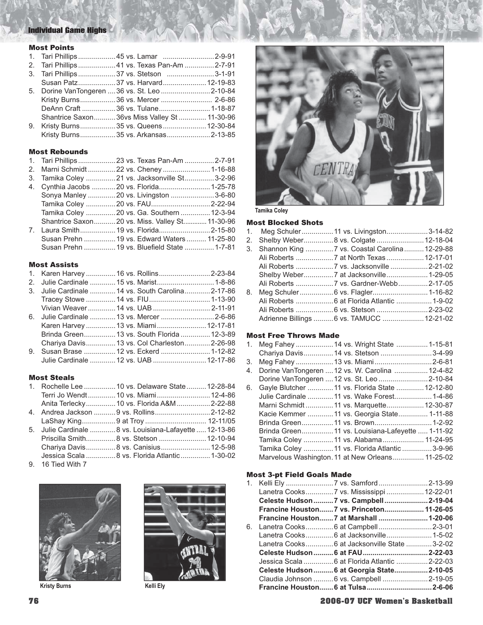# Individual Game Highs

#### Most Points

|  | 1. Tari Phillips 45 vs. Lamar 2-9-91           |  |
|--|------------------------------------------------|--|
|  | 2. Tari Phillips 41 vs. Texas Pan-Am 2-7-91    |  |
|  | 3. Tari Phillips 37 vs. Stetson 3-1-91         |  |
|  | Susan Patz37 vs. Harvard 12-19-83              |  |
|  | 5. Dorine VanTongeren  36 vs. St. Leo  2-10-84 |  |
|  |                                                |  |
|  |                                                |  |
|  | Shantrice Saxon36vs Miss Valley St 11-30-96    |  |
|  | 9. Kristy Burns35 vs. Queens 12-30-84          |  |
|  | Kristy Burns35 vs. Arkansas2-13-85             |  |

#### Most Rebounds

| 1. Tari Phillips  23 vs. Texas Pan-Am 2-7-91   |  |  |
|------------------------------------------------|--|--|
| 2. Marni Schmidt22 vs. Cheney1-16-88           |  |  |
| 3. Tamika Coley 21 vs. Jacksonville St3-2-96   |  |  |
| 4. Cynthia Jacobs 20 vs. Florida1-25-78        |  |  |
| Sonya Manley 20 vs. Livingston 3-6-80          |  |  |
| Tamika Coley 20 vs. FAU2-22-94                 |  |  |
| Tamika Coley 20 vs. Ga. Southern  12-3-94      |  |  |
| Shantrice Saxon20 vs. Miss. Valley St 11-30-96 |  |  |
| 7. Laura Smith 19 vs. Florida2-15-80           |  |  |
| Susan Prehn  19 vs. Edward Waters  11-25-80    |  |  |
| Susan Prehn  19 vs. Bluefield State  1-7-81    |  |  |

## Most Assists

| 1. Karen Harvey  16 vs. Rollins2-23-84            |  |  |
|---------------------------------------------------|--|--|
| 2. Julie Cardinale  15 vs. Marist 1-8-86          |  |  |
| 3. Julie Cardinale  14 vs. South Carolina 2-17-86 |  |  |
|                                                   |  |  |
| Vivian Weaver  14 vs. UAB  2-11-91                |  |  |
| 6. Julie Cardinale  13 vs. Mercer 2-6-86          |  |  |
| Karen Harvey  13 vs. Miami 12-17-81               |  |  |
| Brinda Green 13 vs. South Florida  12-3-89        |  |  |
| Chariya Davis13 vs. Col Charleston2-26-98         |  |  |
| 9. Susan Brase  12 vs. Eckerd  1-12-82            |  |  |
| Julie Cardinale  12 vs. UAB  12-17-86             |  |  |

## Most Steals

|  | 1. Rochelle Lee  10 vs. Delaware State  12-28-84        |  |
|--|---------------------------------------------------------|--|
|  | Terri Jo Wendt 10 vs. Miami 12-4-86                     |  |
|  | Anita Terlecky10 vs. Florida A&M2-22-88                 |  |
|  | 4. Andrea Jackson 9 vs. Rollins2-12-82                  |  |
|  |                                                         |  |
|  | 5. Julie Cardinale  8 vs. Louisiana-Lafayette  12-13-86 |  |
|  | Priscilla Smith 8 vs. Stetson  12-10-94                 |  |
|  |                                                         |  |
|  | Jessica Scala  8 vs. Florida Atlantic  1-30-02          |  |

9. 16 Tied With 7







**Tamika Coley**

#### Most Blocked Shots

|    | 1. Meg Schuler 11 vs. Livingston3-14-82        |  |
|----|------------------------------------------------|--|
|    | 2. Shelby Weber8 vs. Colgate 12-18-04          |  |
| 3. | Shannon King  7 vs. Coastal Carolina  12-29-88 |  |
|    |                                                |  |
|    |                                                |  |
|    |                                                |  |
|    |                                                |  |
| 8. |                                                |  |
|    | Ali Roberts  6 at Florida Atlantic  1-9-02     |  |
|    | Ali Roberts  6 vs. Stetson 2-23-02             |  |
|    | Adrienne Billings  6 vs. TAMUCC  12-21-02      |  |

#### Most Free Throws Made

|    | 1. Meg Fahey  14 vs. Wright State  1-15-81        |  |  |
|----|---------------------------------------------------|--|--|
|    | Chariya Davis 14 vs. Stetson  3-4-99              |  |  |
|    | 3. Meg Fahey  13 vs. Miami 2-6-81                 |  |  |
| 4. | Dorine VanTongeren  12 vs. W. Carolina  12-4-82   |  |  |
|    | Dorine VanTongeren  12 vs. St. Leo  2-10-84       |  |  |
|    | 6. Gayle Blutcher  11 vs. Florida State  12-12-80 |  |  |
|    | Julie Cardinale  11 vs. Wake Forest 1-4-86        |  |  |
|    | Marni Schmidt11 vs. Marquette12-30-87             |  |  |
|    | Kacie Kemmer  11 vs. Georgia State 1-11-88        |  |  |
|    | Brinda Green 11 vs. Brown 1-2-92                  |  |  |
|    | Brinda Green 11 vs. Louisiana-Lafeyette  1-11-92  |  |  |
|    | Tamika Coley  11 vs. Alabama 11-24-95             |  |  |
|    | Tamika Coley  11 vs. Florida Atlantic  3-9-96     |  |  |
|    | Marvelous Washington. 11 at New Orleans 11-25-02  |  |  |

## Most 3-pt Field Goals Made

|                           | Lanetra Cooks7 vs. Mississippi  12-22-01      |  |
|---------------------------|-----------------------------------------------|--|
|                           | Celeste Hudson 7 vs. Campbell  2-19-04        |  |
|                           | Francine Houston7 vs. Princeton 11-26-05      |  |
|                           |                                               |  |
|                           |                                               |  |
|                           | Lanetra Cooks 6 at Jacksonville 1-5-02        |  |
|                           | Lanetra Cooks 6 at Jacksonville State 3-2-02  |  |
|                           |                                               |  |
|                           | Jessica Scala  6 at Florida Atlantic  2-22-03 |  |
|                           | Celeste Hudson  6 at Georgia State  2-10-05   |  |
|                           | Claudia Johnson  6 vs. Campbell  2-19-05      |  |
| Kristy Burns<br>Kelli Elv |                                               |  |

## **76 2006-07 UCF Women's Basketball**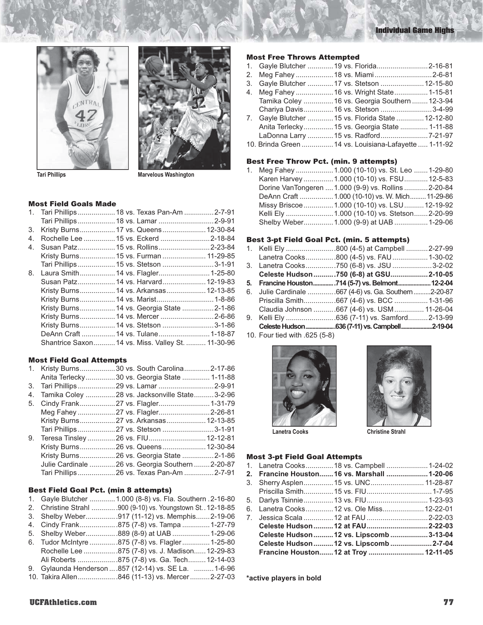





**Tari Phillips Community Community Community Marvelous Washington** 

#### Most Field Goals Made

|    | 1. Tari Phillips  18 vs. Texas Pan-Am 2-7-91      |  |
|----|---------------------------------------------------|--|
|    | Tari Phillips  18 vs. Lamar  2-9-91               |  |
| 3. | Kristy Burns 17 vs. Queens 12-30-84               |  |
| 4. | Rochelle Lee  15 vs. Eckerd 2-18-84               |  |
| 4. | Susan Patz 15 vs. Rollins2-23-84                  |  |
|    | Kristy Burns 15 vs. Furman  11-29-85              |  |
|    | Tari Phillips 15 vs. Stetson 3-1-91               |  |
| 8. | Laura Smith 14 vs. Flagler 1-25-80                |  |
|    | Susan Patz 14 vs. Harvard 12-19-83                |  |
|    | Kristy Burns 14 vs. Arkansas 12-13-85             |  |
|    | Kristy Burns 14 vs. Marist 1-8-86                 |  |
|    | Kristy Burns 14 vs. Georgia State  2-1-86         |  |
|    | Kristy Burns 14 vs. Mercer  2-6-86                |  |
|    | Kristy Burns 14 vs. Stetson 3-1-86                |  |
|    | DeAnn Craft 14 vs. Tulane1-18-87                  |  |
|    | Shantrice Saxon 14 vs. Miss. Valley St.  11-30-96 |  |

#### Most Field Goal Attempts

| 9. | 1. Kristy Burns 30 vs. South Carolina2-17-86<br>Anita Terlecky30 vs. Georgia State  1-11-88<br>Tamika Coley 28 vs. Jacksonville State3-2-96<br>5. Cindy Frank27 vs. Flagler1-31-79<br>Meg Fahey 27 vs. Flagler2-26-81<br>Kristy Burns27 vs. Arkansas12-13-85<br>Teresa Tinsley 26 vs. FIU12-12-81<br>Kristy Burns26 vs. Queens 12-30-84<br>Julie Cardinale 26 vs. Georgia Southern 2-20-87 |
|----|--------------------------------------------------------------------------------------------------------------------------------------------------------------------------------------------------------------------------------------------------------------------------------------------------------------------------------------------------------------------------------------------|

#### Best Field Goal Pct. (min 8 attempts)

|  | 1. Gayle Blutcher  1.000 (8-8) vs. Fla. Southern . 2-16-80 |  |  |  |  |  |  |
|--|------------------------------------------------------------|--|--|--|--|--|--|
|--|------------------------------------------------------------|--|--|--|--|--|--|

- 2. Christine Strahl .............900 (9-10) vs. Youngstown St. .12-18-85
- 3. Shelby Weber ................917 (11-12) vs. Memphis .......2-19-06 4. Cindy Frank ...................875 (7-8) vs. Tampa ..............1-27-79
- 5. Shelby Weber ................889 (8-9) at UAB ...................1-29-06
- 6. Tudor McIntyre ..............875 (7-8) vs. Flagler ..............1-25-80
- Rochelle Lee .................875 (7-8) vs. J. Madison ......12-29-83
- Ali Roberts ....................875 (7-8) vs. Ga. Tech .........12-14-03 9. Gylaunda Henderson ....857 (12-14) vs. SE La. ..........1-6-96
- 10. Takira Allen ....................846 (11-13) vs. Mercer ..........2-27-03

#### Most Free Throws Attempted

| 1. Gayle Blutcher  19 vs. Florida2-16-81              |  |  |
|-------------------------------------------------------|--|--|
| 2. Meg Fahey  18 vs. Miami 2-6-81                     |  |  |
| 3. Gayle Blutcher  17 vs. Stetson  12-15-80           |  |  |
| 4. Meg Fahey  16 vs. Wright State  1-15-81            |  |  |
| Tamika Coley  16 vs. Georgia Southern  12-3-94        |  |  |
| Chariya Davis 16 vs. Stetson 3-4-99                   |  |  |
| 7. Gayle Blutcher  15 vs. Florida State  12-12-80     |  |  |
| Anita Terlecky 15 vs. Georgia State  1-11-88          |  |  |
| LaDonna Larry  15 vs. Radford 7-21-97                 |  |  |
| 10. Brinda Green  14 vs. Louisiana-Lafayette  1-11-92 |  |  |

#### Best Free Throw Pct. (min. 9 attempts)

1. Meg Fahey ...................1.000 (10-10) vs. St. Leo .......1-29-80 Karen Harvey ...............1.000 (10-10) vs. FSU ............12-5-83 Dorine VanTongeren ....1.000 (9-9) vs. Rollins ............2-20-84 DeAnn Craft .................1.000 (10-10) vs. W. Mich .........11-29-86 Missy Briscoe ...............1.000 (10-10) vs. LSU ..........12-19-92 Kelli Ely ........................1.000 (10-10) vs. Stetson .......2-20-99 Shelby Weber................1.000 (9-9) at UAB .................1-29-06

#### Best 3-pt Field Goal Pct. (min. 5 attempts)

|  | 1. Kelli Ely 800 (4-5) at Campbell 2-27-99            |  |
|--|-------------------------------------------------------|--|
|  | Lanetra Cooks800 (4-5) vs. FAU 1-30-02                |  |
|  | 3. Lanetra Cooks750 (6-8) vs. JSU 3-2-02              |  |
|  | Celeste Hudson 750 (6-8) at GSU2-10-05                |  |
|  | 5. Francine Houston714 (5-7) vs. Belmont 12-2-04      |  |
|  | 6. Julie Cardinale 667 (4-6) vs. Ga. Southern 2-20-87 |  |
|  | Priscilla Smith667 (4-6) vs. BCC 1-31-96              |  |
|  | Claudia Johnson 667 (4-6) vs. USM  11-26-04           |  |
|  |                                                       |  |
|  | Celeste Hudson 636 (7-11) vs. Campbell 2-19-04        |  |
|  |                                                       |  |

10. Four tied with .625 (5-8)





Lanetra Cooks **Christine Strahl** 

#### Most 3-pt Field Goal Attempts

|  | 2. Francine Houston 16 vs. Marshall  1-20-06 |  |
|--|----------------------------------------------|--|
|  | 3. Sherry Asplen 15 vs. UNC 11-28-87         |  |
|  |                                              |  |
|  | 5. Darlys Tsinnie 13 vs. FIU 1-23-93         |  |
|  | 6. Lanetra Cooks 12 vs. Ole Miss 12-22-01    |  |
|  |                                              |  |
|  |                                              |  |
|  | Celeste Hudson  12 vs. Lipscomb  3-13-04     |  |
|  | Celeste Hudson  12 vs. Lipscomb  2-7-04      |  |
|  | Francine Houston 12 at Troy  12-11-05        |  |
|  |                                              |  |

**\*active players in bold**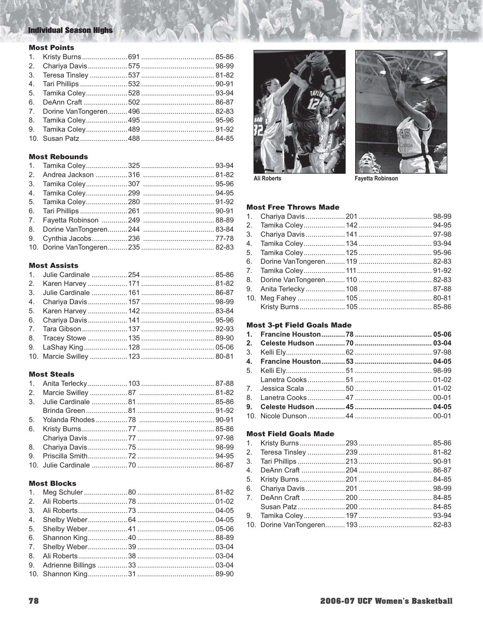# **Individual Season Highs**

## **Most Points**

# **Most Rebounds**

#### **Most Assists**

# **Most Steals**

#### **Most Blocks**





Ali Roberts

**Fayetta Robinson** 

#### **Most Free Throws Made**

| 4. |  |  |
|----|--|--|
|    |  |  |
|    |  |  |
|    |  |  |
|    |  |  |
|    |  |  |
|    |  |  |
|    |  |  |

## **Most 3-pt Field Goals Made**

## **Most Field Goals Made**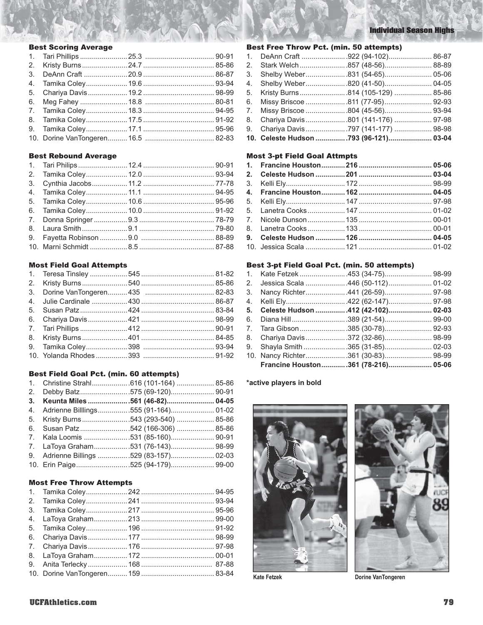## Best Scoring Average

#### Best Rebound Average

#### Most Field Goal Attempts

## Best Field Goal Pct. (min. 60 attempts)

|  | 1. Christine Strahl616 (101-164)  85-86 |  |
|--|-----------------------------------------|--|
|  |                                         |  |
|  | 3. Keunta Miles 561 (46-82) 04-05       |  |
|  | 4. Adrienne Billlings555 (91-164) 01-02 |  |
|  | 5. Kristy Burns543 (293-540)  85-86     |  |
|  | 6. Susan Patz542 (166-306)  85-86       |  |
|  | 7. Kala Loomis 531 (85-160) 90-91       |  |
|  | 7. LaToya Graham531 (76-143) 98-99      |  |
|  | 9. Adrienne Billings 529 (83-157) 02-03 |  |
|  | 10. Erin Paige525 (94-179) 99-00        |  |
|  |                                         |  |

## Most Free Throw Attempts

# Individual Season Highs

#### Best Free Throw Pct. (min. 50 attempts)

| 1. DeAnn Craft 922 (94-102) 86-87     |  |
|---------------------------------------|--|
| 2. Stark Welch 857 (48-56) 88-89      |  |
| 3. Shelby Weber831 (54-65) 05-06      |  |
| 4. Shelby Weber820 (41-50) 04-05      |  |
| 5. Kristy Burns814 (105-129)  85-86   |  |
| 6. Missy Briscoe 811 (77-95) 92-93    |  |
| 7. Missy Briscoe 804 (45-56) 93-94    |  |
| 8. Chariya Davis 801 (141-176)  97-98 |  |
| 9. Chariya Davis 797 (141-177)  98-98 |  |
| 10. Celeste Hudson 793 (96-121) 03-04 |  |

# Most 3-pt Field Goal Attmpts

#### Best 3-pt Field Goal Pct. (min. 50 attempts)

|  | 2. Jessica Scala 446 (50-112) 01-02   |  |
|--|---------------------------------------|--|
|  | 3. Nancy Richter441 (26-59) 97-98     |  |
|  | 4. Kelli Ely422 (62-147) 97-98        |  |
|  | 5. Celeste Hudson  412 (42-102) 02-03 |  |
|  |                                       |  |
|  | 7. Tara Gibson 385 (30-78) 92-93      |  |
|  | 8. Chariya Davis 372 (32-86) 98-99    |  |
|  | 9. Shayla Smith 365 (31-85) 02-03     |  |
|  | 10. Nancy Richter361 (30-83) 98-99    |  |
|  | Francine Houston361 (78-216) 05-06    |  |

## **\*active players in bold**





Kate Fetzek **Dorine VanTongeren**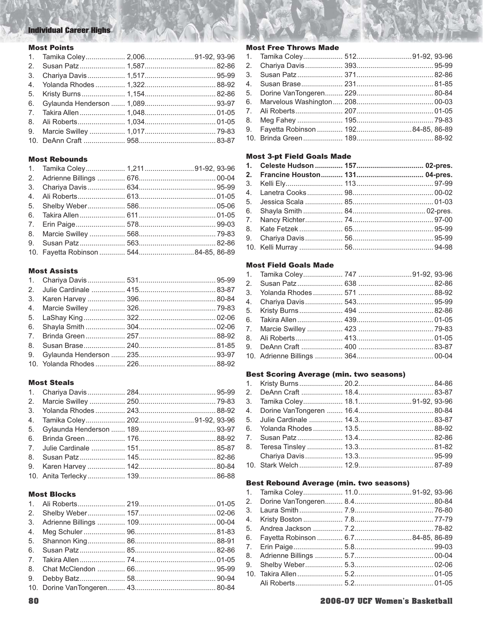# **Individual Career Highs**

## **Most Points**

| 1. Tamika Coley 2,00691-92, 93-96 |  |
|-----------------------------------|--|
|                                   |  |
|                                   |  |
|                                   |  |
|                                   |  |
|                                   |  |
|                                   |  |
|                                   |  |
|                                   |  |
|                                   |  |

#### **Most Rebounds**

## **Most Assists**

# **Most Steals**

#### **Most Blocks**

#### **Most Free Throws Made**

# **Most 3-pt Field Goals Made**

#### **Most Field Goals Made**

## **Best Scoring Average (min. two seasons)**

#### **Best Rebound Average (min. two seasons)**

| 4. |  |  |
|----|--|--|
|    |  |  |
|    |  |  |
|    |  |  |
|    |  |  |
|    |  |  |
|    |  |  |
|    |  |  |
|    |  |  |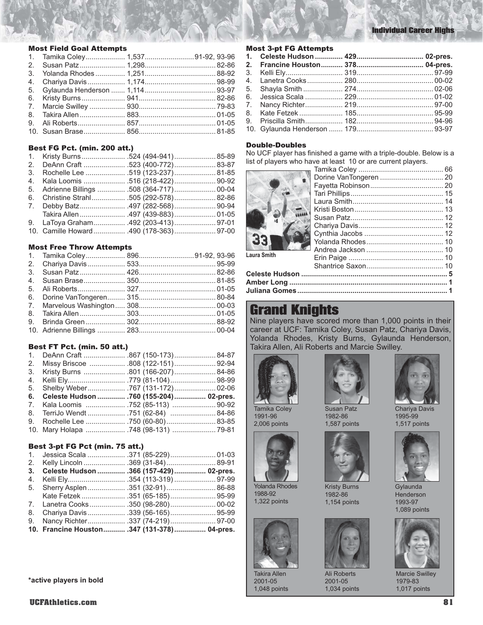#### Most Field Goal Attempts

|  | 1. Tamika Coley 1,53791-92, 93-96 |
|--|-----------------------------------|
|  |                                   |
|  |                                   |
|  |                                   |
|  |                                   |
|  |                                   |
|  |                                   |
|  |                                   |
|  |                                   |
|  |                                   |
|  |                                   |

#### Best FG Pct. (min. 200 att.)

|  | 1. Kristy Burns524 (494-941)85-89<br>2. DeAnn Craft  .523 (400-772)  83-87<br>3. Rochelle Lee  .519 (123-237) 81-85<br>4. Kala Loomis  .516 (218-422)  90-92<br>5. Adrienne Billings  508 (364-717)  00-04<br>6. Christine Strahl .505 (292-578) 82-86<br>9. LaToya Graham 492 (203-413) 97-01<br>10. Camille Howard 490 (178-363) 97-00 |
|--|------------------------------------------------------------------------------------------------------------------------------------------------------------------------------------------------------------------------------------------------------------------------------------------------------------------------------------------|

#### Most Free Throw Attempts

#### Best FT Pct. (min. 50 att.)

| 1. DeAnn Craft 867 (150-173)84-87          |  |  |
|--------------------------------------------|--|--|
| 2. Missy Briscoe  .808 (122-151)92-94      |  |  |
| 3. Kristy Burns  801 (166-207)84-86        |  |  |
|                                            |  |  |
| 5. Shelby Weber 767 (131-172) 02-06        |  |  |
|                                            |  |  |
| 6. Celeste Hudson  760 (155-204)  02-pres. |  |  |
| 7. Kala Loomis  752 (85-113)  90-92        |  |  |
| 8. TerriJo Wendt  751 (62-84) 84-86        |  |  |
| 9. Rochelle Lee  750 (60-80) 83-85         |  |  |

#### Best 3-pt FG Pct (min. 75 att.)

| 2. Kelly Lincoln 369 (31-84)89-91           |  |  |
|---------------------------------------------|--|--|
| 3. Celeste Hudson  .366 (157-429)  02-pres. |  |  |
|                                             |  |  |
| 5. Sherry Asplen  351 (32-91)  86-88        |  |  |
|                                             |  |  |
| 7. Lanetra Cooks350 (98-280)00-02           |  |  |
|                                             |  |  |
| 9. Nancy Richter337 (74-219) 97-00          |  |  |
| 10. Francine Houston 347 (131-378) 04-pres. |  |  |

#### **\*active players in bold**

#### Most 3-pt FG Attempts

#### Double-Doubles

No UCF player has finished a game with a triple-double. Below is a list of players who have at least 10 or are current players.



| <b>Laura Smith</b> |  |
|--------------------|--|
|                    |  |
|                    |  |
|                    |  |
|                    |  |

# Grand Knights

Nine players have scored more than 1,000 points in their career at UCF: Tamika Coley, Susan Patz, Chariya Davis, Yolanda Rhodes, Kristy Burns, Gylaunda Henderson, Takira Allen, Ali Roberts and Marcie Swilley.



Yolanda Rhodes 1988-92 1,322 points

Takira Allen 2001-05 1,048 points

1991-96 2,006 points



Susan Patz 1982-86 1,587 points



Kristy Burns 1982-86 1,154 points



Ali Roberts 2001-05 1,034 points



Chariya Davis 1995-99 1,517 points



**Gylaunda** Henderson 1993-97 1,089 points



Marcie Swilley 1979-83 1,017 points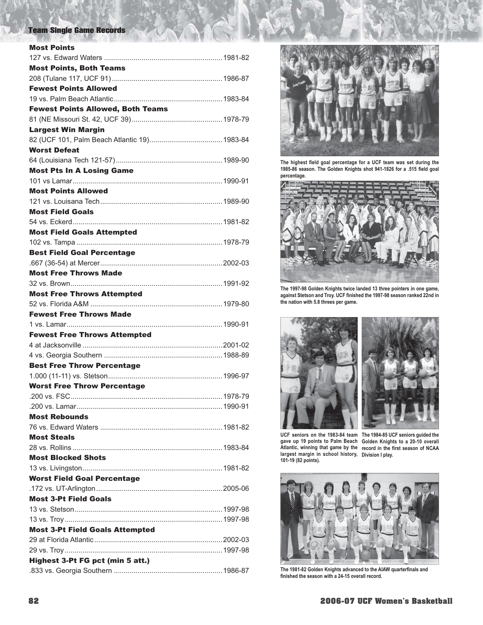# Team Single Game Records

| <b>Most Points</b>                       |
|------------------------------------------|
|                                          |
| <b>Most Points, Both Teams</b>           |
|                                          |
| <b>Fewest Points Allowed</b>             |
|                                          |
| <b>Fewest Points Allowed, Both Teams</b> |
|                                          |
| <b>Largest Win Margin</b>                |
|                                          |
| <b>Worst Defeat</b>                      |
|                                          |
| <b>Most Pts In A Losing Game</b>         |
|                                          |
| <b>Most Points Allowed</b>               |
|                                          |
| <b>Most Field Goals</b>                  |
|                                          |
| <b>Most Field Goals Attempted</b>        |
|                                          |
| <b>Best Field Goal Percentage</b>        |
|                                          |
| <b>Most Free Throws Made</b>             |
|                                          |
| <b>Most Free Throws Attempted</b>        |
|                                          |
| <b>Fewest Free Throws Made</b>           |
|                                          |
|                                          |
| <b>Fewest Free Throws Attempted</b>      |
|                                          |
|                                          |
| <b>Best Free Throw Percentage</b>        |
|                                          |
| <b>Worst Free Throw Percentage</b>       |
|                                          |
|                                          |
| <b>Most Rebounds</b>                     |
|                                          |
| <b>Most Steals</b>                       |
|                                          |
| <b>Most Blocked Shots</b>                |
|                                          |
| <b>Worst Field Goal Percentage</b>       |
|                                          |
| <b>Most 3-Pt Field Goals</b>             |
|                                          |
|                                          |
| <b>Most 3-Pt Field Goals Attempted</b>   |
|                                          |
|                                          |
| Highest 3-Pt FG pct (min 5 att.)         |



The highest field goal percentage for a UCF team was set during the 1985-86 season. The Golden Knights shot 941-1826 for a .515 field goal **percentage.** 



**The 1997-98 Golden Knights twice landed 13 three pointers in one game,**  against Stetson and Troy. UCF finished the 1997-98 season ranked 22nd in **the nation with 5.8 threes per game.** 



**Atlantic, winning that game by the 101-19 (82 points).** 

**UCF seniors on the 1983-84 team The 1984-85 UCF seniors guided the gave up 19 points to Palm Beach Golden Knights to a 20-10 overall**  Atlantic, winning that game by the <sub>record</sub> in the first season of NCAA<br>largest margin in school history, Division I play. **Division I play.** 



The 1981-82 Golden Knights advanced to the AIAW quarterfinals and finished the season with a 24-15 overall record.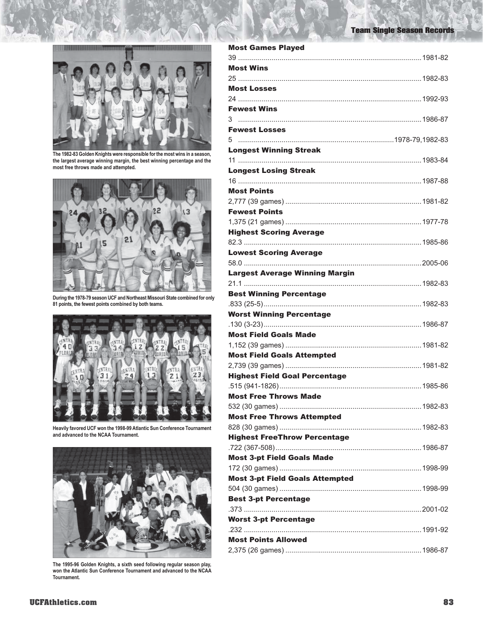Team Single Season Records



**The 1982-83 Golden Knights were responsible for the most wins in a season, the largest average winning margin, the best winning percentage and the most free throws made and attempted.** 



**During the 1978-79 season UCF and Northeast Missouri State combined for only 81 points, the fewest points combined by both teams.** 



**Heavily favored UCF won the 1998-99 Atlantic Sun Conference Tournament and advanced to the NCAA Tournament.** 



**The 1995-96 Golden Knights, a sixth seed following regular season play, won the Atlantic Sun Conference Tournament and advanced to the NCAA Tournament.** 

| <b>Most Games Played</b>               |  |
|----------------------------------------|--|
|                                        |  |
| <b>Most Wins</b>                       |  |
|                                        |  |
| <b>Most Losses</b>                     |  |
|                                        |  |
| <b>Fewest Wins</b>                     |  |
|                                        |  |
| <b>Fewest Losses</b>                   |  |
| 5.                                     |  |
| <b>Longest Winning Streak</b>          |  |
|                                        |  |
| <b>Longest Losing Streak</b>           |  |
|                                        |  |
| <b>Most Points</b>                     |  |
|                                        |  |
|                                        |  |
| <b>Fewest Points</b>                   |  |
|                                        |  |
| <b>Highest Scoring Average</b>         |  |
|                                        |  |
| <b>Lowest Scoring Average</b>          |  |
|                                        |  |
| <b>Largest Average Winning Margin</b>  |  |
|                                        |  |
| <b>Best Winning Percentage</b>         |  |
|                                        |  |
| <b>Worst Winning Percentage</b>        |  |
|                                        |  |
| <b>Most Field Goals Made</b>           |  |
|                                        |  |
| <b>Most Field Goals Attempted</b>      |  |
|                                        |  |
| <b>Highest Field Goal Percentage</b>   |  |
|                                        |  |
| <b>Most Free Throws Made</b>           |  |
|                                        |  |
| <b>Most Free Throws Attempted</b>      |  |
|                                        |  |
| <b>Highest FreeThrow Percentage</b>    |  |
|                                        |  |
|                                        |  |
| <b>Most 3-pt Field Goals Made</b>      |  |
|                                        |  |
| <b>Most 3-pt Field Goals Attempted</b> |  |
|                                        |  |
| <b>Best 3-pt Percentage</b>            |  |
|                                        |  |
| <b>Worst 3-pt Percentage</b>           |  |
|                                        |  |
| <b>Most Points Allowed</b>             |  |
|                                        |  |
|                                        |  |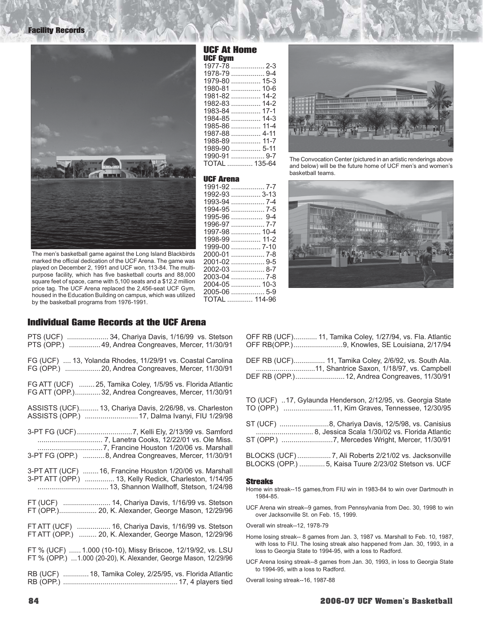

The men's basketball game against the Long Island Blackbirds marked the official dedication of the UCF Arena. The game was played on December 2, 1991 and UCF won, 113-84. The multipurpose facility, which has five basketball courts and 88,000 square feet of space, came with 5,100 seats and a \$12.2 million price tag. The UCF Arena replaced the 2,456-seat UCF Gym, housed in the Education Building on campus, which was utilized by the basketball programs from 1976-1991.

Individual Game Records at the UCF Arena

| PTS (UCF)  34, Chariya Davis, 1/16/99 vs. Stetson<br>PTS (OPP.)  49, Andrea Congreaves, Mercer, 11/30/91                        |
|---------------------------------------------------------------------------------------------------------------------------------|
| FG (UCF)  13, Yolanda Rhodes, 11/29/91 vs. Coastal Carolina                                                                     |
| FG ATT (UCF)  25, Tamika Coley, 1/5/95 vs. Florida Atlantic<br>FG ATT (OPP.) 32, Andrea Congreaves, Mercer, 11/30/91            |
| ASSISTS (UCF) 13, Chariya Davis, 2/26/98, vs. Charleston<br>ASSISTS (OPP.)  17, Dalma Ivanyi, FIU 1/29/98                       |
| 3-PT FG (UCF)7, Kelli Ely, 2/13/99 vs. Samford<br>3-PT FG (OPP.) 8, Andrea Congreaves, Mercer, 11/30/91                         |
| 3-PT ATT (UCF)  16, Francine Houston 1/20/06 vs. Marshall<br>3-PT ATT (OPP.)  13, Kelly Redick, Charleston, 1/14/95             |
| FT (UCF)  14, Chariya Davis, 1/16/99 vs. Stetson<br>FT (OPP.) 20, K. Alexander, George Mason, 12/29/96                          |
| FT ATT (UCF)  16, Chariya Davis, 1/16/99 vs. Stetson<br>FT ATT (OPP.)  20, K. Alexander, George Mason, 12/29/96                 |
| FT % (UCF)  1.000 (10-10), Missy Briscoe, 12/19/92, vs. LSU<br>FT % (OPP.)  1.000 (20-20), K. Alexander, George Mason, 12/29/96 |
| RB (UCF)  18, Tamika Coley, 2/25/95, vs. Florida Atlantic                                                                       |

| RB (UCF)  18, Tamika Coley, 2/25/95, vs. Florida Atlantic |  |
|-----------------------------------------------------------|--|
|                                                           |  |

|         | UCF At Home   |
|---------|---------------|
| UCF Gvm |               |
|         | 1977-78  2-3  |
|         | 1978-79  9-4  |
|         | 1979-80  15-3 |
|         | 1980-81  10-6 |
|         | 1981-82  14-2 |
|         | 1982-83  14-2 |
|         | 1983-84  17-1 |
|         | 1984-85  14-3 |
|         | 1985-86  11-4 |
|         | 1987-88  4-11 |
|         | 1988-89  11-7 |
|         | 1989-90  5-11 |
|         | 1990-91  9-7  |
|         | TOTAL  135-64 |

#### UCF Arena

|  | 1991-92  7-7  |  |
|--|---------------|--|
|  | 1992-93  3-13 |  |
|  | 1993-94  7-4  |  |
|  |               |  |
|  | 1995-96  9-4  |  |
|  | 1996-97  7-7  |  |
|  | 1997-98  10-4 |  |
|  | 1998-99  11-2 |  |
|  | 1999-00  7-10 |  |
|  | 2000-01  7-8  |  |
|  | 2001-02  9-5  |  |
|  | 2002-03  8-7  |  |
|  | 2003-04  7-8  |  |
|  | 2004-05  10-3 |  |
|  | 2005-06  5-9  |  |
|  | TOTAL  114-96 |  |
|  |               |  |



The Convocation Center (pictured in an artistic renderings above and below) will be the future home of UCF men's and women's basketball teams.



| OFF RB (UCF) 11, Tamika Coley, 1/27/94, vs. Fla. Atlantic<br>OFF RB(OPP.)9, Knowles, SE Louisiana, 2/17/94                                           |
|------------------------------------------------------------------------------------------------------------------------------------------------------|
| DEF RB (UCF) 11, Tamika Coley, 2/6/92, vs. South Ala.<br>11, Shantrice Saxon, 1/18/97, vs. Campbell<br>DEF RB (OPP.) 12, Andrea Congreaves, 11/30/91 |
| TO (UCF) 17, Gylaunda Henderson, 2/12/95, vs. Georgia State<br>TO (OPP.) 11, Kim Graves, Tennessee, 12/30/95                                         |
| ST (UCF) 8, Chariya Davis, 12/5/98, vs. Canisius<br>8, Jessica Scala 1/30/02 vs. Florida Atlantic<br>ST (OPP.) 7, Mercedes Wright, Mercer, 11/30/91  |
| BLOCKS (UCF) 7, Ali Roberts 2/21/02 vs. Jacksonville<br>BLOCKS (OPP.)  5, Kaisa Tuure 2/23/02 Stetson vs. UCF                                        |

#### Streaks

- Home win streak--15 games,from FIU win in 1983-84 to win over Dartmouth in 1984-85.
- UCF Arena win streak--9 games, from Pennsylvania from Dec. 30, 1998 to win over Jacksonville St. on Feb. 15, 1999.

Overall win streak--12, 1978-79

- Home losing streak-- 8 games from Jan. 3, 1987 vs. Marshall to Feb. 10, 1987, with loss to FIU. The losing streak also happened from Jan. 30, 1993, in a loss to Georgia State to 1994-95, with a loss to Radford.
- UCF Arena losing streak--8 games from Jan. 30, 1993, in loss to Georgia State to 1994-95, with a loss to Radford.

Overall losing streak--16, 1987-88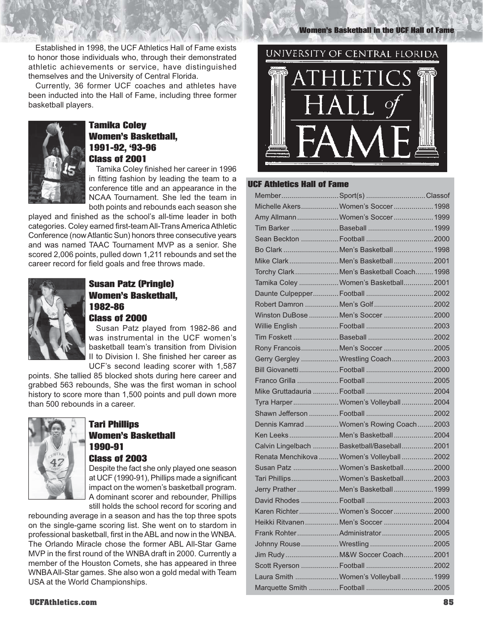Established in 1998, the UCF Athletics Hall of Fame exists to honor those individuals who, through their demonstrated athletic achievements or service, have distinguished themselves and the University of Central Florida.

Currently, 36 former UCF coaches and athletes have been inducted into the Hall of Fame, including three former basketball players.



# Tamika Coley Women's Basketball, 1991-92, '93-96 Class of 2001

Tamika Coley finished her career in 1996 in fitting fashion by leading the team to a conference title and an appearance in the NCAA Tournament. She led the team in both points and rebounds each season she

played and finished as the school's all-time leader in both categories. Coley earned first-team All-Trans America Athletic Conference (now Atlantic Sun) honors three consecutive years and was named TAAC Tournament MVP as a senior. She scored 2,006 points, pulled down 1,211 rebounds and set the career record for field goals and free throws made.



# Susan Patz (Pringle) Women's Basketball, 1982-86 Class of 2000

Susan Patz played from 1982-86 and was instrumental in the UCF women's basketball team's transition from Division II to Division I. She finished her career as UCF's second leading scorer with 1,587

points. She tallied 85 blocked shots during here career and grabbed 563 rebounds, She was the first woman in school history to score more than 1,500 points and pull down more than 500 rebounds in a career.



# Tari Phillips Women's Basketball 1990-91 Class of 2003

Despite the fact she only played one season at UCF (1990-91), Phillips made a significant impact on the women's basketball program. A dominant scorer and rebounder, Phillips still holds the school record for scoring and

rebounding average in a season and has the top three spots on the single-game scoring list. She went on to stardom in professional basketball, first in the ABL and now in the WNBA. The Orlando Miracle chose the former ABL All-Star Game MVP in the first round of the WNBA draft in 2000. Currently a member of the Houston Comets, she has appeared in three WNBA All-Star games. She also won a gold medal with Team USA at the World Championships.

Women's Basketball in the UCF Hall of Fame



#### UCF Athletics Hall of Fame

| MemberSport(s)Classof                       |  |
|---------------------------------------------|--|
| Michelle Akers Women's Soccer 1998          |  |
| Amy AllmannWomen's Soccer 1999              |  |
|                                             |  |
|                                             |  |
| Bo Clark Men's Basketball  1998             |  |
| Mike Clark Men's Basketball2001             |  |
| Torchy ClarkMen's Basketball Coach 1998     |  |
| Tamika Coley Women's Basketball2001         |  |
|                                             |  |
|                                             |  |
| Winston DuBose Men's Soccer 2000            |  |
|                                             |  |
|                                             |  |
| Rony FrancoisMen's Soccer 2005              |  |
| Gerry Gergley  Wrestling Coach 2003         |  |
|                                             |  |
|                                             |  |
|                                             |  |
| Tyra HarperWomen's Volleyball2004           |  |
|                                             |  |
| Dennis Kamrad Women's Rowing Coach2003      |  |
| Ken LeeksMen's Basketball2004               |  |
| Calvin Lingelbach Basketball/Baseball 2001  |  |
| Renata Menchikova  Women's Volleyball  2002 |  |
| Susan Patz  Women's Basketball 2000         |  |
| Tari Phillips Women's Basketball 2003       |  |
| Jerry Prather Men's Basketball  1999        |  |
|                                             |  |
| Karen RichterWomen's Soccer2000             |  |
| Heikki Ritvanen  Men's Soccer  2004         |  |
|                                             |  |
|                                             |  |
|                                             |  |
|                                             |  |
| Laura Smith  Women's Volleyball  1999       |  |
|                                             |  |